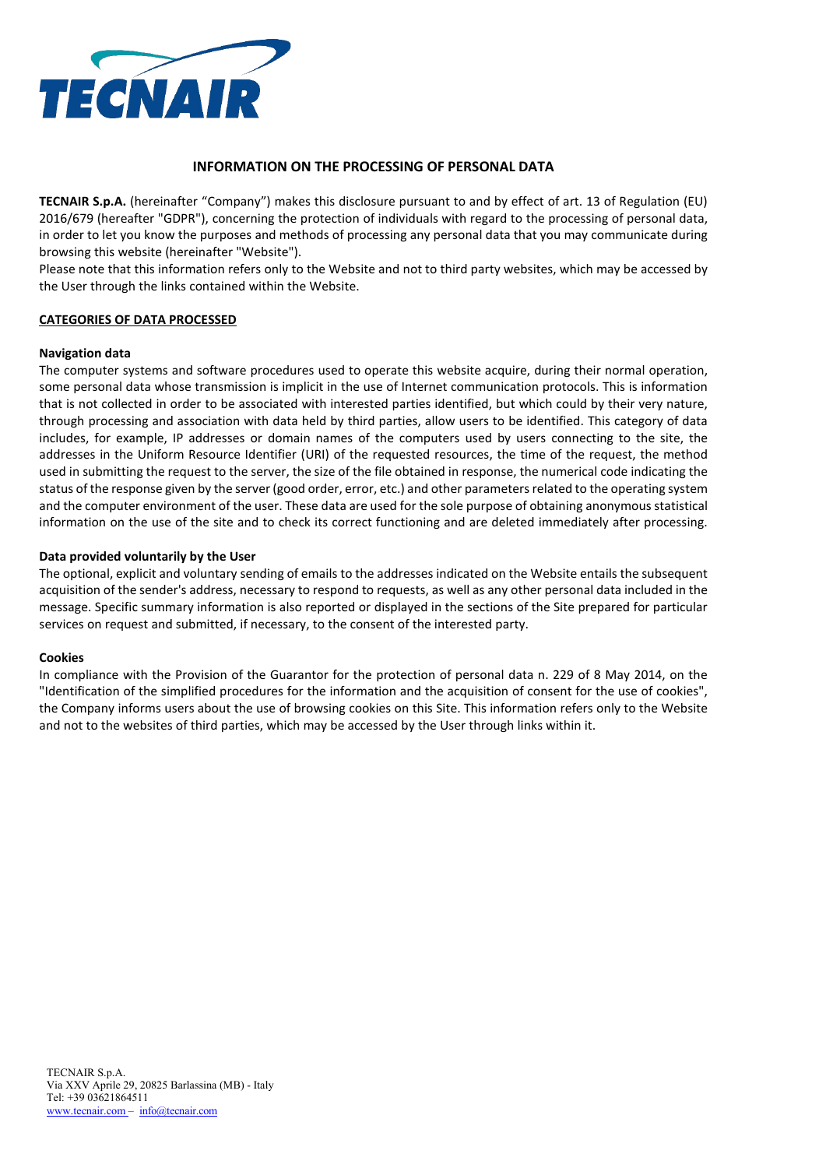

# **INFORMATION ON THE PROCESSING OF PERSONAL DATA**

**TECNAIR S.p.A.** (hereinafter "Company") makes this disclosure pursuant to and by effect of art. 13 of Regulation (EU) 2016/679 (hereafter "GDPR"), concerning the protection of individuals with regard to the processing of personal data, in order to let you know the purposes and methods of processing any personal data that you may communicate during browsing this website (hereinafter "Website").

Please note that this information refers only to the Website and not to third party websites, which may be accessed by the User through the links contained within the Website.

### **CATEGORIES OF DATA PROCESSED**

### **Navigation data**

The computer systems and software procedures used to operate this website acquire, during their normal operation, some personal data whose transmission is implicit in the use of Internet communication protocols. This is information that is not collected in order to be associated with interested parties identified, but which could by their very nature, through processing and association with data held by third parties, allow users to be identified. This category of data includes, for example, IP addresses or domain names of the computers used by users connecting to the site, the addresses in the Uniform Resource Identifier (URI) of the requested resources, the time of the request, the method used in submitting the request to the server, the size of the file obtained in response, the numerical code indicating the status of the response given by the server (good order, error, etc.) and other parameters related to the operating system and the computer environment of the user. These data are used for the sole purpose of obtaining anonymous statistical information on the use of the site and to check its correct functioning and are deleted immediately after processing.

### **Data provided voluntarily by the User**

The optional, explicit and voluntary sending of emails to the addresses indicated on the Website entails the subsequent acquisition of the sender's address, necessary to respond to requests, as well as any other personal data included in the message. Specific summary information is also reported or displayed in the sections of the Site prepared for particular services on request and submitted, if necessary, to the consent of the interested party.

#### **Cookies**

In compliance with the Provision of the Guarantor for the protection of personal data n. 229 of 8 May 2014, on the "Identification of the simplified procedures for the information and the acquisition of consent for the use of cookies", the Company informs users about the use of browsing cookies on this Site. This information refers only to the Website and not to the websites of third parties, which may be accessed by the User through links within it.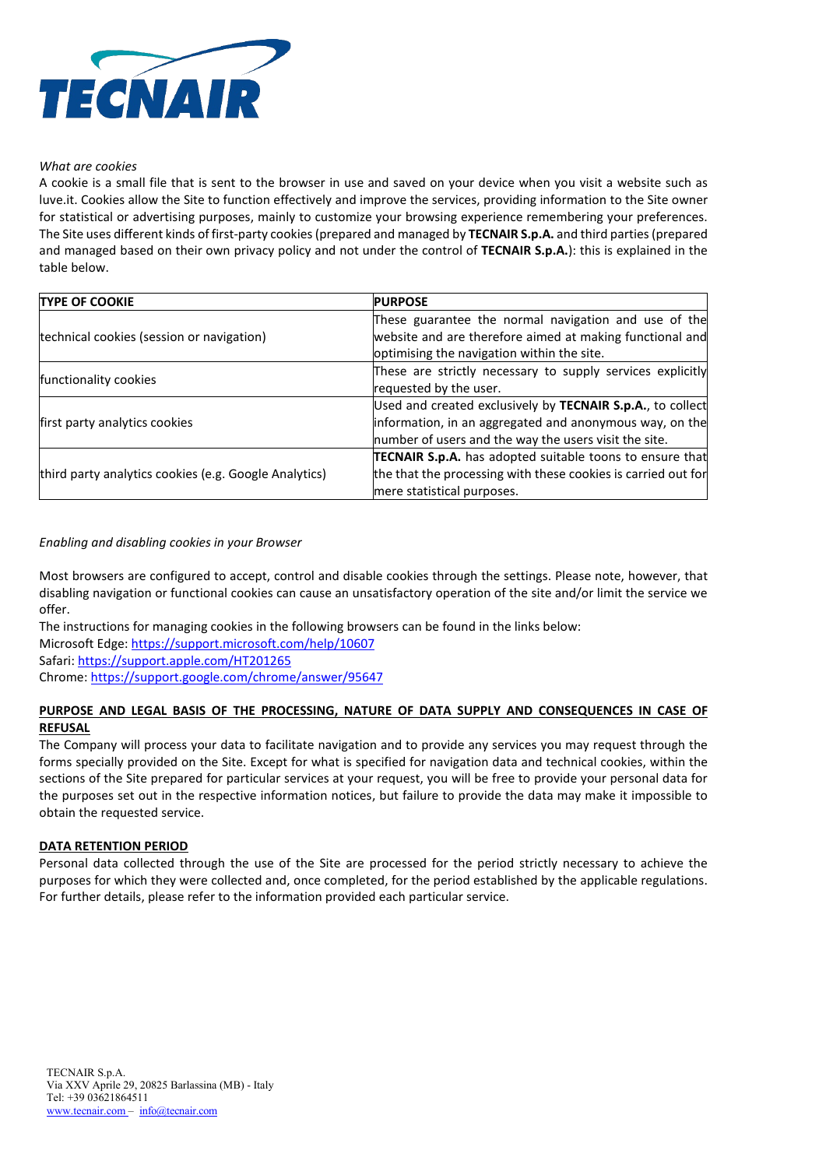

### *What are cookies*

A cookie is a small file that is sent to the browser in use and saved on your device when you visit a website such as luve.it. Cookies allow the Site to function effectively and improve the services, providing information to the Site owner for statistical or advertising purposes, mainly to customize your browsing experience remembering your preferences. The Site uses different kinds of first-party cookies (prepared and managed by **TECNAIR S.p.A.** and third parties (prepared and managed based on their own privacy policy and not under the control of **TECNAIR S.p.A.**): this is explained in the table below.

| <b>TYPE OF COOKIE</b>                                 | <b>PURPOSE</b>                                                  |
|-------------------------------------------------------|-----------------------------------------------------------------|
| technical cookies (session or navigation)             | These guarantee the normal navigation and use of the            |
|                                                       | website and are therefore aimed at making functional and        |
|                                                       | optimising the navigation within the site.                      |
| functionality cookies                                 | These are strictly necessary to supply services explicitly      |
|                                                       | requested by the user.                                          |
| first party analytics cookies                         | Used and created exclusively by TECNAIR S.p.A., to collect      |
|                                                       | information, in an aggregated and anonymous way, on the         |
|                                                       | number of users and the way the users visit the site.           |
| third party analytics cookies (e.g. Google Analytics) | <b>TECNAIR S.p.A.</b> has adopted suitable toons to ensure that |
|                                                       | the that the processing with these cookies is carried out for   |
|                                                       | mere statistical purposes.                                      |

### *Enabling and disabling cookies in your Browser*

Most browsers are configured to accept, control and disable cookies through the settings. Please note, however, that disabling navigation or functional cookies can cause an unsatisfactory operation of the site and/or limit the service we offer.

The instructions for managing cookies in the following browsers can be found in the links below:

Microsoft Edge:<https://support.microsoft.com/help/10607>

Safari:<https://support.apple.com/HT201265>

Chrome[: https://support.google.com/chrome/answer/95647](https://support.google.com/chrome/answer/95647)

# **PURPOSE AND LEGAL BASIS OF THE PROCESSING, NATURE OF DATA SUPPLY AND CONSEQUENCES IN CASE OF REFUSAL**

The Company will process your data to facilitate navigation and to provide any services you may request through the forms specially provided on the Site. Except for what is specified for navigation data and technical cookies, within the sections of the Site prepared for particular services at your request, you will be free to provide your personal data for the purposes set out in the respective information notices, but failure to provide the data may make it impossible to obtain the requested service.

## **DATA RETENTION PERIOD**

Personal data collected through the use of the Site are processed for the period strictly necessary to achieve the purposes for which they were collected and, once completed, for the period established by the applicable regulations. For further details, please refer to the information provided each particular service.